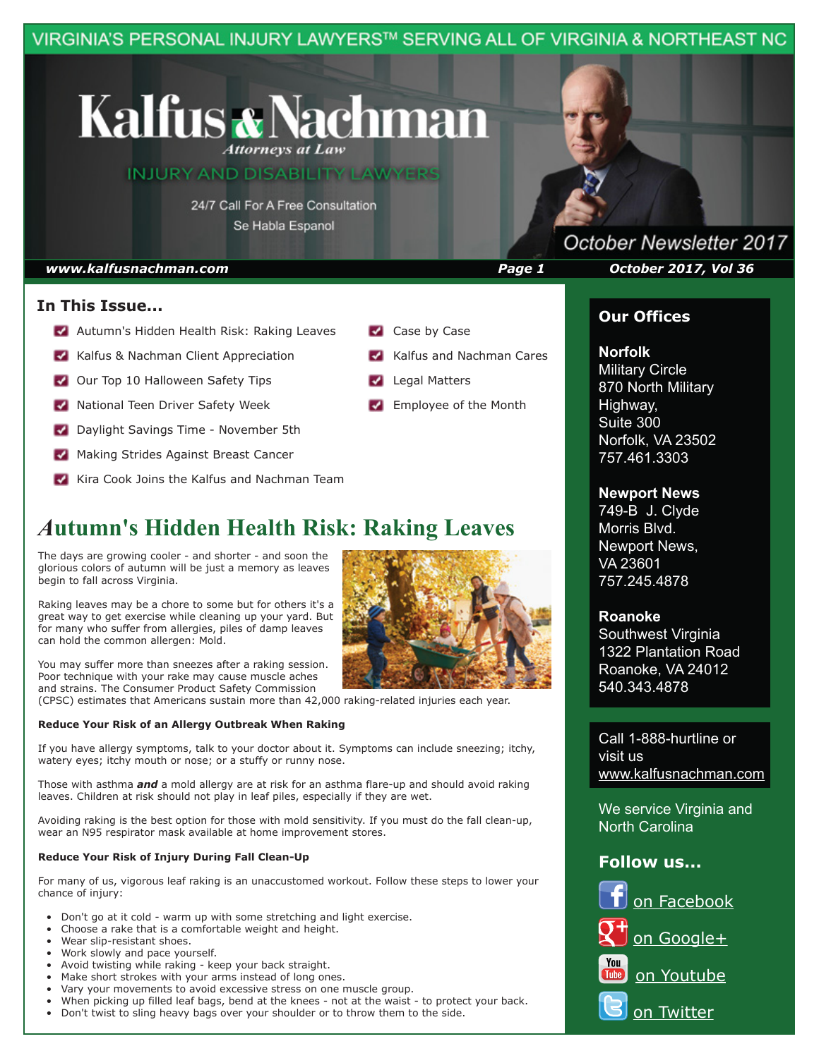VIRGINIA'S PERSONAL INJURY LAWYERS™ SERVING ALL OF VIRGINIA & NORTHEAST NC

# **Kalfus & Nachman Attorneys at Law**

**INJURY AND DISABILITY LAWYERS** 

24/7 Call For A Free Consultation Se Habla Espanol

## **In This Issue...**

- **Autumn's Hidden Health Risk: Raking Leaves**
- Kalfus & Nachman Client Appreciation
- **V** Our Top 10 Halloween Safety Tips
- **National Teen Driver Safety Week**
- **Daylight Savings Time November 5th**
- Making Strides Against Breast Cancer
- Kira Cook Joins the Kalfus and Nachman Team

## *A***utumn's Hidden Health Risk: Raking Leaves**

The days are growing cooler - and shorter - and soon the glorious colors of autumn will be just a memory as leaves begin to fall across Virginia.

Raking leaves may be a chore to some but for others it's a great way to get exercise while cleaning up your yard. But for many who suffer from allergies, piles of damp leaves can hold the common allergen: Mold.

You may suffer more than sneezes after a raking session. Poor technique with your rake may cause muscle aches and strains. The Consumer Product Safety Commission (CPSC) estimates that Americans sustain more than 42,000 raking-related injuries each year.

#### **Reduce Your Risk of an Allergy Outbreak When Raking**

If you have allergy symptoms, talk to your doctor about it. Symptoms can include sneezing; itchy, watery eyes; itchy mouth or nose; or a stuffy or runny nose.

Those with asthma *and* a mold allergy are at risk for an asthma flare-up and should avoid raking leaves. Children at risk should not play in leaf piles, especially if they are wet.

Avoiding raking is the best option for those with mold sensitivity. If you must do the fall clean-up, wear an N95 respirator mask available at home improvement stores.

#### **Reduce Your Risk of Injury During Fall Clean-Up**

For many of us, vigorous leaf raking is an unaccustomed workout. Follow these steps to lower your chance of injury:

- Don't go at it cold warm up with some stretching and light exercise.
- Choose a rake that is a comfortable weight and height.
- Wear slip-resistant shoes.
- Work slowly and pace yourself.
- Avoid twisting while raking keep your back straight.
- Make short strokes with your arms instead of long ones.
- Vary your movements to avoid excessive stress on one muscle group.
- When picking up filled leaf bags, bend at the knees not at the waist to protect your back.
- Don't twist to sling heavy bags over your shoulder or to throw them to the side.

Kalfus and Nachman Cares **Legal Matters** 

Case by Case

Employee of the Month

## October Newsletter 2017 *www.kalfusnachman.com Page 1 October 2017, Vol 36*

## **Our Offices**

### **Norfolk**

**Military Circle** 870 North Military Highway, Suite 300 Norfolk, VA 23502 757.461.3303

## **Newport News**

749-B J. Clyde Morris Blvd. Newport News, VA 23601 757.245.4878

#### **Roanoke**

Southwest Virginia 1322 Plantation Road Roanoke, VA 24012 540.343.4878

Call 1-888-hurtline or visit us www.kalfusnachman.com

We service Virginia and North Carolina

## **Follow us...**

# on Facebook

- on Google+
- You on Youtube
	- on Twitter

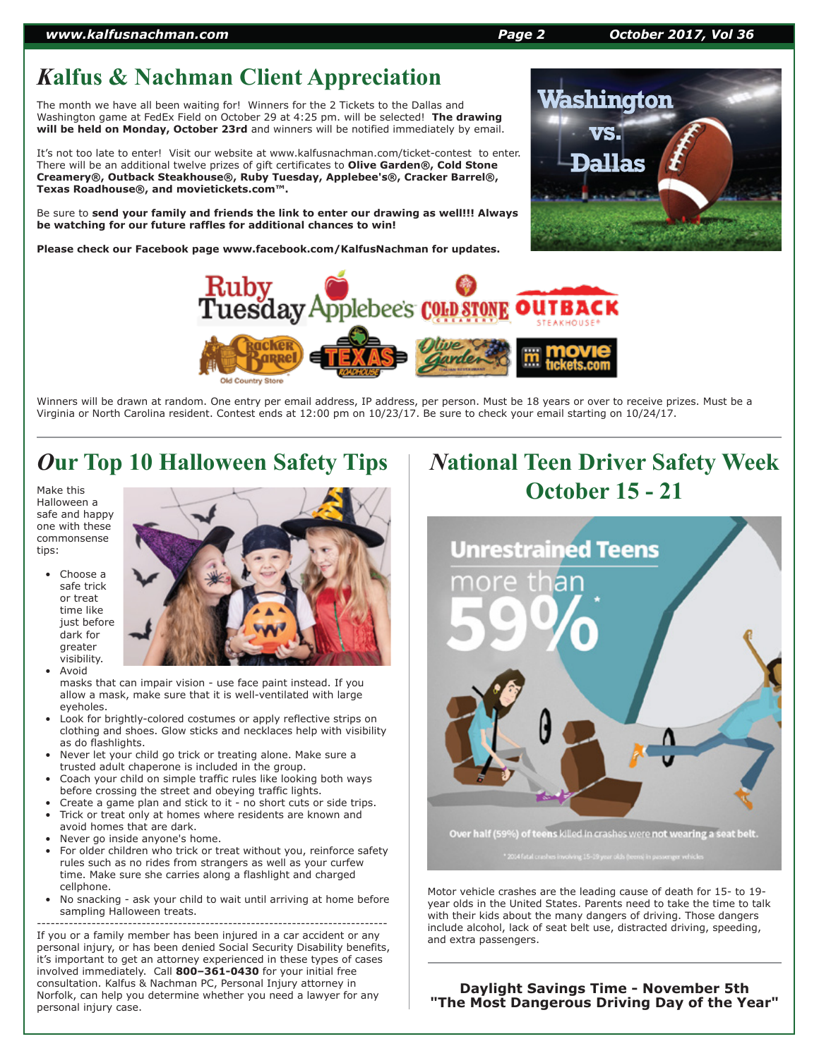#### *www.kalfusnachman.com Page 2 October 2017, Vol 36*

## *K***alfus & Nachman Client Appreciation**

The month we have all been waiting for! Winners for the 2 Tickets to the Dallas and Washington game at FedEx Field on October 29 at 4:25 pm. will be selected! **The drawing will be held on Monday, October 23rd** and winners will be notified immediately by email.

It's not too late to enter! Visit our website at www.kalfusnachman.com/ticket-contest to enter. There will be an additional twelve prizes of gift certificates to **Olive Garden®, Cold Stone Creamery®, Outback Steakhouse®, Ruby Tuesday, Applebee's®, Cracker Barrel®, Texas Roadhouse®, and movietickets.com™.**

Be sure to **send your family and friends the link to enter our drawing as well!!! Always be watching for our future raffles for additional chances to win!**

**Please check our Facebook page www.facebook.com/KalfusNachman for updates.**





Winners will be drawn at random. One entry per email address, IP address, per person. Must be 18 years or over to receive prizes. Must be a Virginia or North Carolina resident. Contest ends at 12:00 pm on 10/23/17. Be sure to check your email starting on 10/24/17.

## *O***ur Top 10 Halloween Safety Tips**

Make this Halloween a safe and happy one with these commonsense tips:

> Choose a safe trick or treat time like just before dark for greater visibility.



 • Avoid masks that can impair vision - use face paint instead. If you allow a mask, make sure that it is well-ventilated with large eyeholes.

- Look for brightly-colored costumes or apply reflective strips on clothing and shoes. Glow sticks and necklaces help with visibility as do flashlights.
- Never let your child go trick or treating alone. Make sure a trusted adult chaperone is included in the group.
- Coach your child on simple traffic rules like looking both ways before crossing the street and obeying traffic lights.
- Create a game plan and stick to it no short cuts or side trips.
- Trick or treat only at homes where residents are known and avoid homes that are dark.
- Never go inside anyone's home.
- For older children who trick or treat without you, reinforce safety rules such as no rides from strangers as well as your curfew time. Make sure she carries along a flashlight and charged cellphone.
- No snacking ask your child to wait until arriving at home before sampling Halloween treats.

----------------------------------------------------------------------------- If you or a family member has been injured in a car accident or any personal injury, or has been denied Social Security Disability benefits, it's important to get an attorney experienced in these types of cases involved immediately. Call **800–361-0430** for your initial free consultation. Kalfus & Nachman PC, Personal Injury attorney in Norfolk, can help you determine whether you need a lawyer for any personal injury case.

# *N***ational Teen Driver Safety Week October 15 - 21**



Motor vehicle crashes are the leading cause of death for 15- to 19 year olds in the United States. Parents need to take the time to talk with their kids about the many dangers of driving. Those dangers include alcohol, lack of seat belt use, distracted driving, speeding, and extra passengers.

**Daylight Savings Time - November 5th "The Most Dangerous Driving Day of the Year"**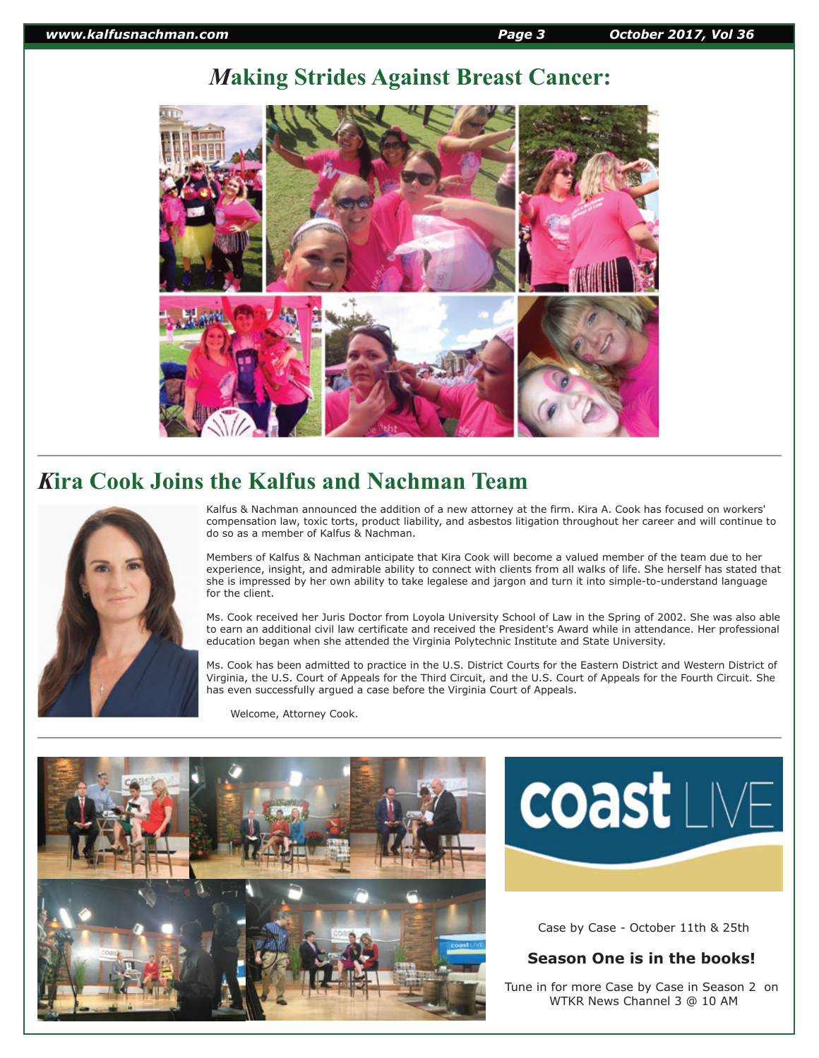## *M***aking Strides Against Breast Cancer:**



## *K***ira Cook Joins the Kalfus and Nachman Team**



Kalfus & Nachman announced the addition of a new attorney at the firm. Kira A. Cook has focused on workers' compensation law, toxic torts, product liability, and asbestos litigation throughout her career and will continue to do so as a member of Kalfus & Nachman.

Members of Kalfus & Nachman anticipate that Kira Cook will become a valued member of the team due to her experience, insight, and admirable ability to connect with clients from all walks of life. She herself has stated that she is impressed by her own ability to take legalese and jargon and turn it into simple-to-understand language for the client.

Ms. Cook received her Juris Doctor from Loyola University School of Law in the Spring of 2002. She was also able to earn an additional civil law certificate and received the President's Award while in attendance. Her professional education began when she attended the Virginia Polytechnic Institute and State University.

Ms. Cook has been admitted to practice in the U.S. District Courts for the Eastern District and Western District of Virginia, the U.S. Court of Appeals for the Third Circuit, and the U.S. Court of Appeals for the Fourth Circuit. She has even successfully argued a case before the Virginia Court of Appeals.

Welcome, Attorney Cook.





Case by Case - October 11th & 25th

## **Season One is in the books!**

Tune in for more Case by Case in Season 2 on WTKR News Channel 3 @ 10 AM